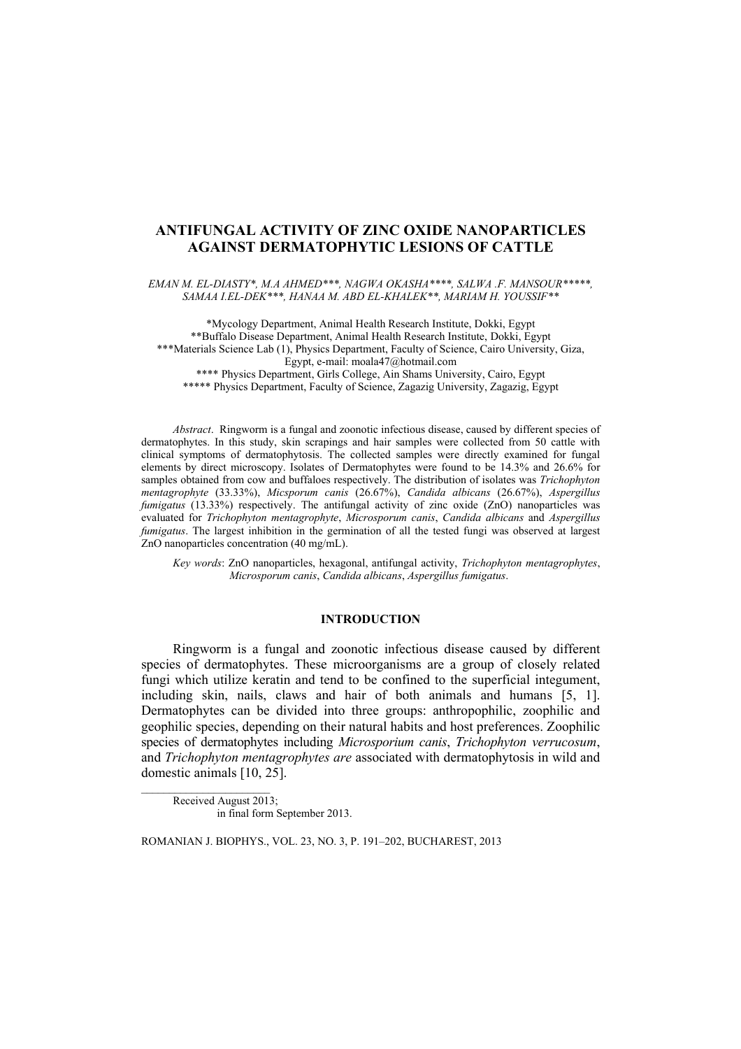# **ANTIFUNGAL ACTIVITY OF ZINC OXIDE NANOPARTICLES AGAINST DERMATOPHYTIC LESIONS OF CATTLE**

*EMAN M. EL-DIASTY\*, M.A AHMED\*\*\*, NAGWA OKASHA\*\*\*\*, SALWA .F. MANSOUR\*\*\*\*\*, SAMAA I.EL-DEK\*\*\*, HANAA M. ABD EL-KHALEK\*\*, MARIAM H. YOUSSIF\*\**

\*Mycology Department, Animal Health Research Institute, Dokki, Egypt \*\*Buffalo Disease Department, Animal Health Research Institute, Dokki, Egypt \*\*\*Materials Science Lab (1), Physics Department, Faculty of Science, Cairo University, Giza, Egypt, e-mail: moala47@hotmail.com \*\*\*\* Physics Department, Girls College, Ain Shams University, Cairo, Egypt \*\*\*\*\* Physics Department, Faculty of Science, Zagazig University, Zagazig, Egypt

*Abstract*. Ringworm is a fungal and zoonotic infectious disease, caused by different species of dermatophytes. In this study, skin scrapings and hair samples were collected from 50 cattle with clinical symptoms of dermatophytosis. The collected samples were directly examined for fungal elements by direct microscopy. Isolates of Dermatophytes were found to be 14.3% and 26.6% for samples obtained from cow and buffaloes respectively. The distribution of isolates was *Trichophyton mentagrophyte* (33.33%), *Micsporum canis* (26.67%), *Candida albicans* (26.67%), *Aspergillus fumigatus* (13.33%) respectively. The antifungal activity of zinc oxide (ZnO) nanoparticles was evaluated for *Trichophyton mentagrophyte*, *Microsporum canis*, *Candida albicans* and *Aspergillus fumigatus*. The largest inhibition in the germination of all the tested fungi was observed at largest ZnO nanoparticles concentration (40 mg/mL).

*Key words*: ZnO nanoparticles, hexagonal, antifungal activity, *Trichophyton mentagrophytes*, *Microsporum canis*, *Candida albicans*, *Aspergillus fumigatus*.

# **INTRODUCTION**

Ringworm is a fungal and zoonotic infectious disease caused by different species of dermatophytes. These microorganisms are a group of closely related fungi which utilize keratin and tend to be confined to the superficial integument, including skin, nails, claws and hair of both animals and humans [5, 1]. Dermatophytes can be divided into three groups: anthropophilic, zoophilic and geophilic species, depending on their natural habits and host preferences. Zoophilic species of dermatophytes including *Microsporium canis*, *Trichophyton verrucosum*, and *Trichophyton mentagrophytes are* associated with dermatophytosis in wild and domestic animals [10, 25].

Received August 2013; in final form September 2013.

ROMANIAN J. BIOPHYS., VOL. 23, NO. 3, P. 191–202, BUCHAREST, 2013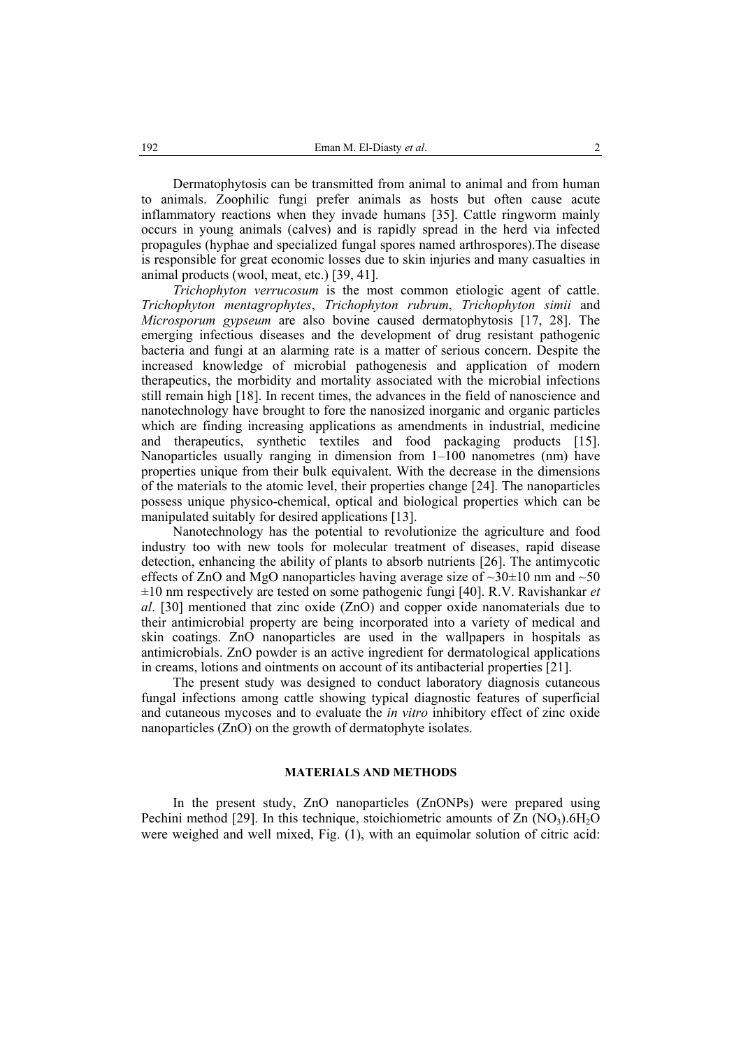Dermatophytosis can be transmitted from animal to animal and from human to animals. Zoophilic fungi prefer animals as hosts but often cause acute inflammatory reactions when they invade humans [35]. Cattle ringworm mainly occurs in young animals (calves) and is rapidly spread in the herd via infected propagules (hyphae and specialized fungal spores named arthrospores).The disease is responsible for great economic losses due to skin injuries and many casualties in animal products (wool, meat, etc.) [39, 41].

*Trichophyton verrucosum* is the most common etiologic agent of cattle. *Trichophyton mentagrophytes*, *Trichophyton rubrum*, *Trichophyton simii* and *Microsporum gypseum* are also bovine caused dermatophytosis [17, 28]. The emerging infectious diseases and the development of drug resistant pathogenic bacteria and fungi at an alarming rate is a matter of serious concern. Despite the increased knowledge of microbial pathogenesis and application of modern therapeutics, the morbidity and mortality associated with the microbial infections still remain high [18]. In recent times, the advances in the field of nanoscience and nanotechnology have brought to fore the nanosized inorganic and organic particles which are finding increasing applications as amendments in industrial, medicine and therapeutics, synthetic textiles and food packaging products [15]. Nanoparticles usually ranging in dimension from 1–100 nanometres (nm) have properties unique from their bulk equivalent. With the decrease in the dimensions of the materials to the atomic level, their properties change [24]. The nanoparticles possess unique physico-chemical, optical and biological properties which can be manipulated suitably for desired applications [13].

Nanotechnology has the potential to revolutionize the agriculture and food industry too with new tools for molecular treatment of diseases, rapid disease detection, enhancing the ability of plants to absorb nutrients [26]. The antimycotic effects of ZnO and MgO nanoparticles having average size of  $\sim$ 30 $\pm$ 10 nm and  $\sim$ 50 ±10 nm respectively are tested on some pathogenic fungi [40]. R.V. Ravishankar *et al*. [30] mentioned that zinc oxide (ZnO) and copper oxide nanomaterials due to their antimicrobial property are being incorporated into a variety of medical and skin coatings. ZnO nanoparticles are used in the wallpapers in hospitals as antimicrobials. ZnO powder is an active ingredient for dermatological applications in creams, lotions and ointments on account of its antibacterial properties [21].

The present study was designed to conduct laboratory diagnosis cutaneous fungal infections among cattle showing typical diagnostic features of superficial and cutaneous mycoses and to evaluate the *in vitro* inhibitory effect of zinc oxide nanoparticles (ZnO) on the growth of dermatophyte isolates.

## **MATERIALS AND METHODS**

In the present study, ZnO nanoparticles (ZnONPs) were prepared using Pechini method [29]. In this technique, stoichiometric amounts of  $Zn$  (NO<sub>3</sub>).6H<sub>2</sub>O were weighed and well mixed, Fig. (1), with an equimolar solution of citric acid: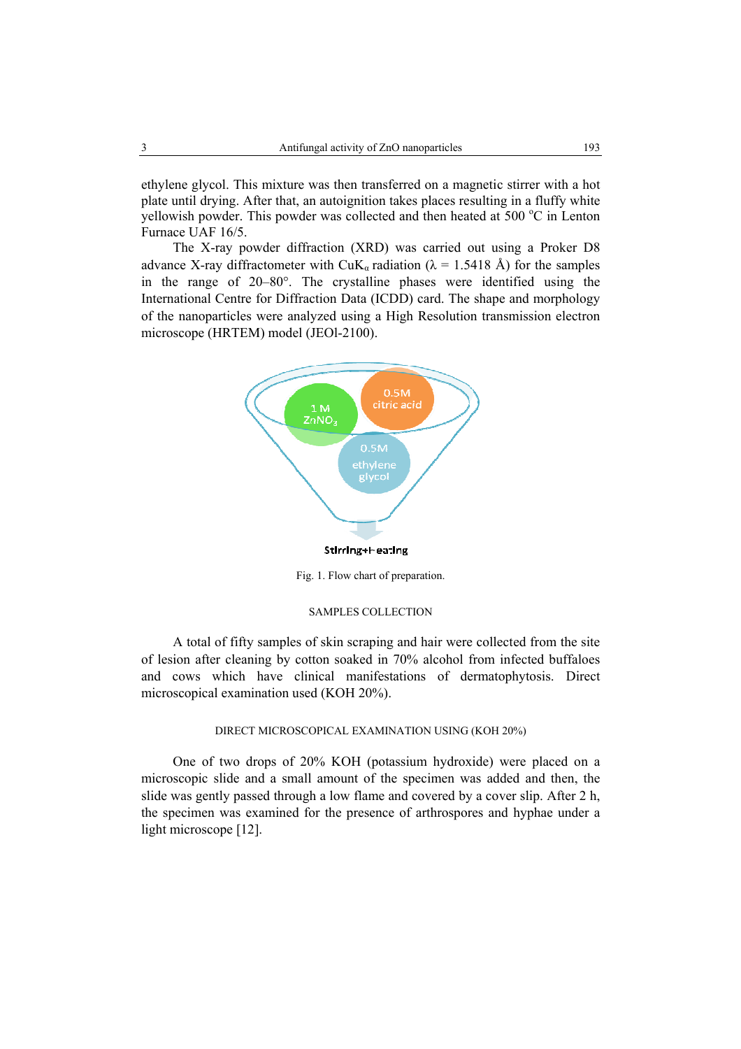ethylene glycol. This mixture was then transferred on a magnetic stirrer with a hot plate until drying. After that, an autoignition takes places resulting in a fluffy white yellowish powder. This powder was collected and then heated at 500  $^{\circ}$ C in Lenton Furnace UAF 16/5.

The X-ray powder diffraction (XRD) was carried out using a Proker D8 advance X-ray diffractometer with CuK<sub>a</sub> radiation ( $\lambda$  = 1.5418 Å) for the samples in the range of 20–80°. The crystalline phases were identified using the International Centre for Diffraction Data (ICDD) card. The shape and morphology of the nanoparticles were analyzed using a High Resolution transmission electron microscope (HRTEM) model (JEOl-2100).



Fig. 1. Flow chart of preparation.

#### SAMPLES COLLECTION

A total of fifty samples of skin scraping and hair were collected from the site of lesion after cleaning by cotton soaked in 70% alcohol from infected buffaloes and cows which have clinical manifestations of dermatophytosis. Direct microscopical examination used (KOH 20%).

# DIRECT MICROSCOPICAL EXAMINATION USING (KOH 20%)

One of two drops of 20% KOH (potassium hydroxide) were placed on a microscopic slide and a small amount of the specimen was added and then, the slide was gently passed through a low flame and covered by a cover slip. After 2 h, the specimen was examined for the presence of arthrospores and hyphae under a light microscope [12].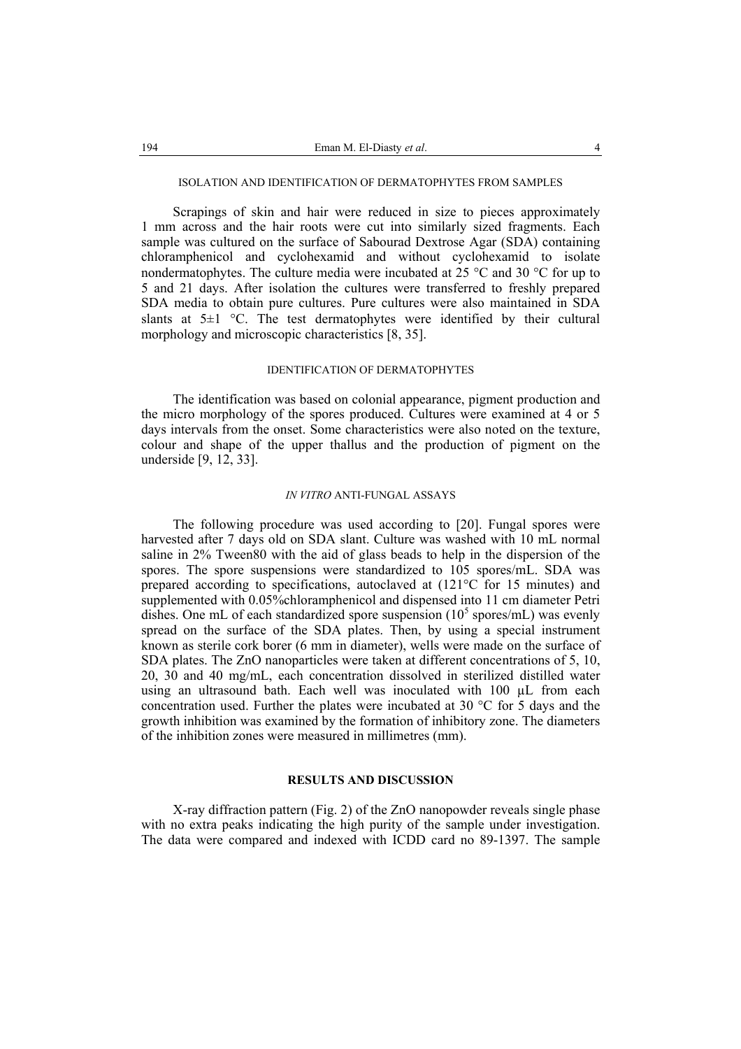#### ISOLATION AND IDENTIFICATION OF DERMATOPHYTES FROM SAMPLES

Scrapings of skin and hair were reduced in size to pieces approximately 1 mm across and the hair roots were cut into similarly sized fragments. Each sample was cultured on the surface of Sabourad Dextrose Agar (SDA) containing chloramphenicol and cyclohexamid and without cyclohexamid to isolate nondermatophytes. The culture media were incubated at 25  $\degree$ C and 30  $\degree$ C for up to 5 and 21 days. After isolation the cultures were transferred to freshly prepared SDA media to obtain pure cultures. Pure cultures were also maintained in SDA slants at  $5\pm1$  °C. The test dermatophytes were identified by their cultural morphology and microscopic characteristics [8, 35].

#### IDENTIFICATION OF DERMATOPHYTES

The identification was based on colonial appearance, pigment production and the micro morphology of the spores produced. Cultures were examined at 4 or 5 days intervals from the onset. Some characteristics were also noted on the texture, colour and shape of the upper thallus and the production of pigment on the underside [9, 12, 33].

#### *IN VITRO* ANTI-FUNGAL ASSAYS

The following procedure was used according to [20]. Fungal spores were harvested after 7 days old on SDA slant. Culture was washed with 10 mL normal saline in 2% Tween80 with the aid of glass beads to help in the dispersion of the spores. The spore suspensions were standardized to 105 spores/mL. SDA was prepared according to specifications, autoclaved at (121°C for 15 minutes) and supplemented with 0.05%chloramphenicol and dispensed into 11 cm diameter Petri dishes. One mL of each standardized spore suspension  $(10^5 \text{ spores/mL})$  was evenly spread on the surface of the SDA plates. Then, by using a special instrument known as sterile cork borer (6 mm in diameter), wells were made on the surface of SDA plates. The ZnO nanoparticles were taken at different concentrations of 5, 10, 20, 30 and 40 mg/mL, each concentration dissolved in sterilized distilled water using an ultrasound bath. Each well was inoculated with 100 µL from each concentration used. Further the plates were incubated at 30 °C for 5 days and the growth inhibition was examined by the formation of inhibitory zone. The diameters of the inhibition zones were measured in millimetres (mm).

### **RESULTS AND DISCUSSION**

X-ray diffraction pattern (Fig. 2) of the ZnO nanopowder reveals single phase with no extra peaks indicating the high purity of the sample under investigation. The data were compared and indexed with ICDD card no 89-1397. The sample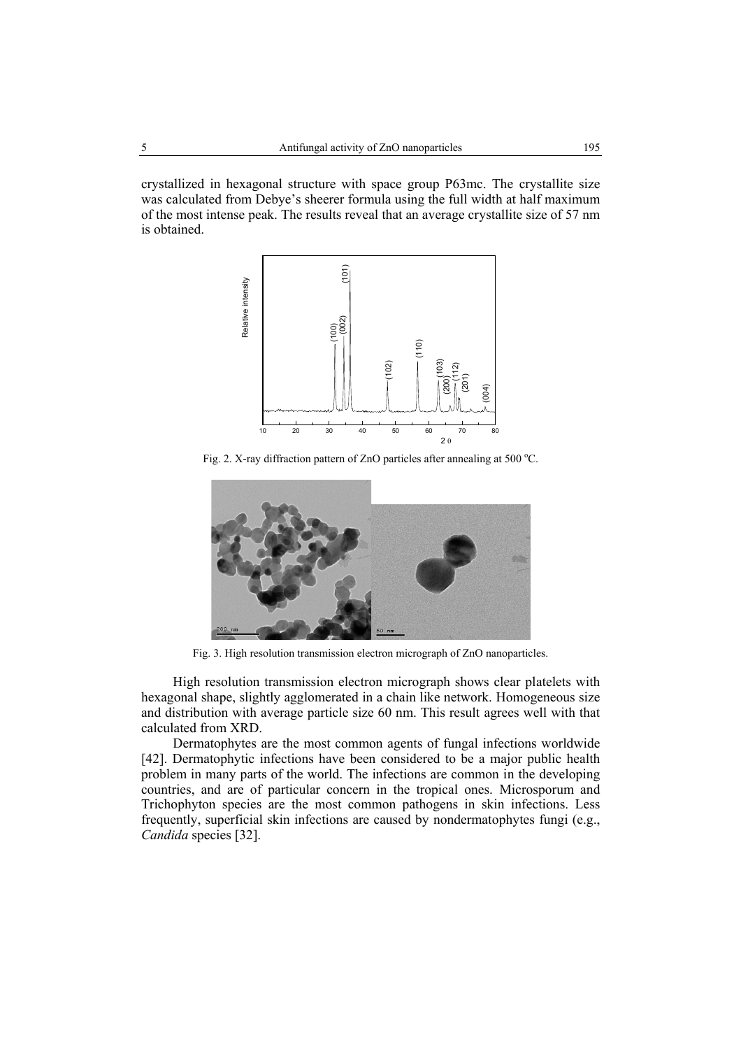crystallized in hexagonal structure with space group P63mc. The crystallite size was calculated from Debye's sheerer formula using the full width at half maximum of the most intense peak. The results reveal that an average crystallite size of 57 nm is obtained.



Fig. 2. X-ray diffraction pattern of ZnO particles after annealing at 500  $^{\circ}$ C.



Fig. 3. High resolution transmission electron micrograph of ZnO nanoparticles.

High resolution transmission electron micrograph shows clear platelets with hexagonal shape, slightly agglomerated in a chain like network. Homogeneous size and distribution with average particle size 60 nm. This result agrees well with that calculated from XRD.

Dermatophytes are the most common agents of fungal infections worldwide [42]. Dermatophytic infections have been considered to be a major public health problem in many parts of the world. The infections are common in the developing countries, and are of particular concern in the tropical ones. Microsporum and Trichophyton species are the most common pathogens in skin infections. Less frequently, superficial skin infections are caused by nondermatophytes fungi (e.g., *Candida* species [32].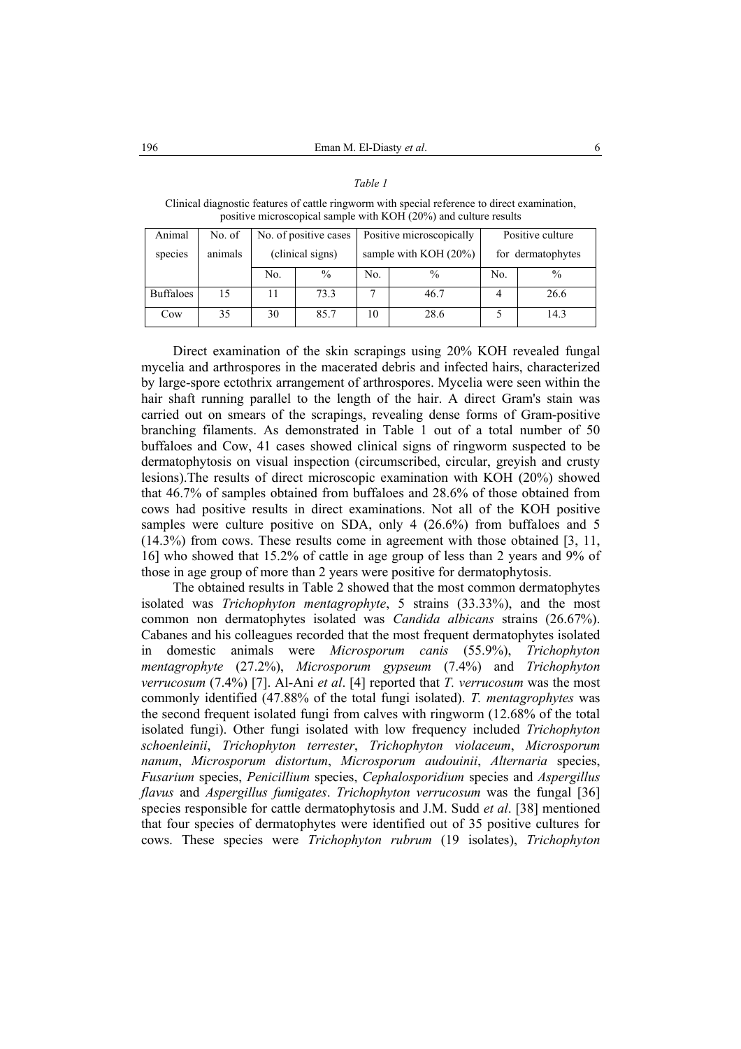Clinical diagnostic features of cattle ringworm with special reference to direct examination, positive microscopical sample with KOH (20%) and culture results

| Animal           | No. of  |     | No. of positive cases | Positive microscopically |               | Positive culture  |      |
|------------------|---------|-----|-----------------------|--------------------------|---------------|-------------------|------|
| species          | animals |     | (clinical signs)      | sample with KOH $(20\%)$ |               | for dermatophytes |      |
|                  |         | No. | $\%$                  | No.                      | $\frac{0}{0}$ | No.               | $\%$ |
| <b>Buffaloes</b> | 15      |     | 73.3                  |                          | 46.7          |                   | 26.6 |
| Cow              | 35      | 30  | 85.7                  | 10                       | 28.6          |                   | 14.3 |

Direct examination of the skin scrapings using 20% KOH revealed fungal mycelia and arthrospores in the macerated debris and infected hairs, characterized by large-spore ectothrix arrangement of arthrospores. Mycelia were seen within the hair shaft running parallel to the length of the hair. A direct Gram's stain was carried out on smears of the scrapings, revealing dense forms of Gram-positive branching filaments. As demonstrated in Table 1 out of a total number of 50 buffaloes and Cow, 41 cases showed clinical signs of ringworm suspected to be dermatophytosis on visual inspection (circumscribed, circular, greyish and crusty lesions).The results of direct microscopic examination with KOH (20%) showed that 46.7% of samples obtained from buffaloes and 28.6% of those obtained from cows had positive results in direct examinations. Not all of the KOH positive samples were culture positive on SDA, only 4 (26.6%) from buffaloes and 5 (14.3%) from cows. These results come in agreement with those obtained [3, 11, 16] who showed that 15.2% of cattle in age group of less than 2 years and 9% of those in age group of more than 2 years were positive for dermatophytosis.

The obtained results in Table 2 showed that the most common dermatophytes isolated was *Trichophyton mentagrophyte*, 5 strains (33.33%), and the most common non dermatophytes isolated was *Candida albicans* strains (26.67%). Cabanes and his colleagues recorded that the most frequent dermatophytes isolated in domestic animals were *Microsporum canis* (55.9%), *Trichophyton mentagrophyte* (27.2%), *Microsporum gypseum* (7.4%) and *Trichophyton verrucosum* (7.4%) [7]. Al-Ani *et al*. [4] reported that *T. verrucosum* was the most commonly identified (47.88% of the total fungi isolated). *T. mentagrophytes* was the second frequent isolated fungi from calves with ringworm (12.68% of the total isolated fungi). Other fungi isolated with low frequency included *Trichophyton schoenleinii*, *Trichophyton terrester*, *Trichophyton violaceum*, *Microsporum nanum*, *Microsporum distortum*, *Microsporum audouinii*, *Alternaria* species, *Fusarium* species, *Penicillium* species, *Cephalosporidium* species and *Aspergillus flavus* and *Aspergillus fumigates*. *Trichophyton verrucosum* was the fungal [36] species responsible for cattle dermatophytosis and J.M. Sudd *et al*. [38] mentioned that four species of dermatophytes were identified out of 35 positive cultures for cows. These species were *Trichophyton rubrum* (19 isolates), *Trichophyton*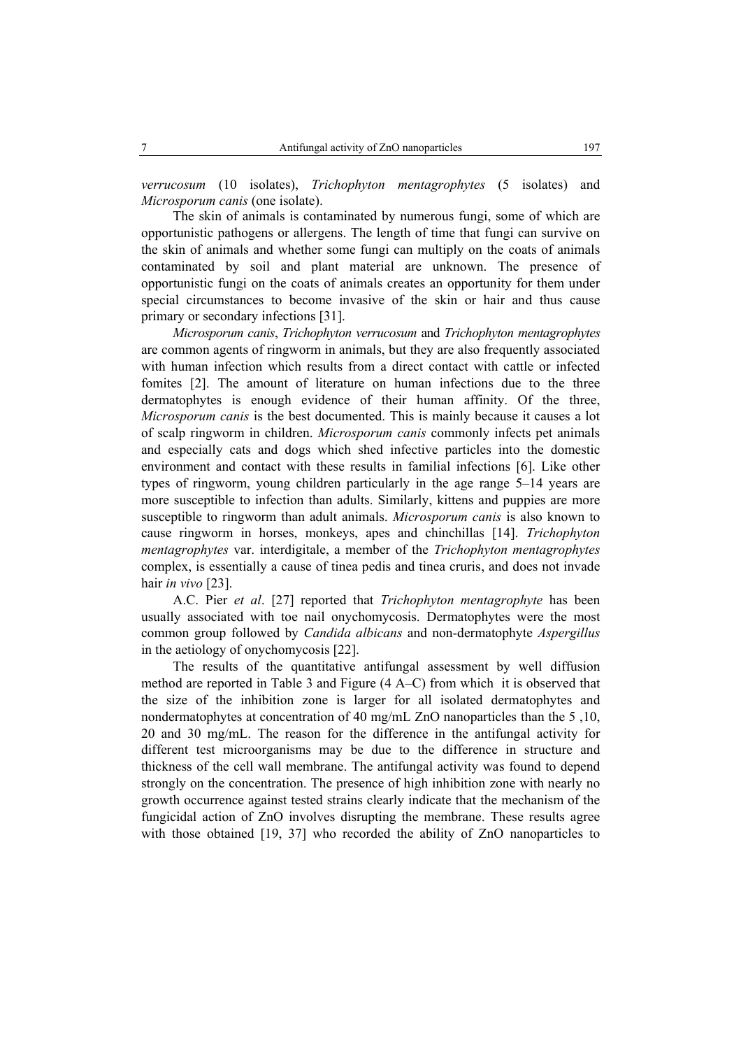*verrucosum* (10 isolates), *Trichophyton mentagrophytes* (5 isolates) and *Microsporum canis* (one isolate).

The skin of animals is contaminated by numerous fungi, some of which are opportunistic pathogens or allergens. The length of time that fungi can survive on the skin of animals and whether some fungi can multiply on the coats of animals contaminated by soil and plant material are unknown. The presence of opportunistic fungi on the coats of animals creates an opportunity for them under special circumstances to become invasive of the skin or hair and thus cause primary or secondary infections [31].

*Microsporum canis*, *Trichophyton verrucosum* and *Trichophyton mentagrophytes* are common agents of ringworm in animals, but they are also frequently associated with human infection which results from a direct contact with cattle or infected fomites [2]. The amount of literature on human infections due to the three dermatophytes is enough evidence of their human affinity. Of the three, *Microsporum canis* is the best documented. This is mainly because it causes a lot of scalp ringworm in children. *Microsporum canis* commonly infects pet animals and especially cats and dogs which shed infective particles into the domestic environment and contact with these results in familial infections [6]. Like other types of ringworm, young children particularly in the age range 5–14 years are more susceptible to infection than adults. Similarly, kittens and puppies are more susceptible to ringworm than adult animals. *Microsporum canis* is also known to cause ringworm in horses, monkeys, apes and chinchillas [14]. *Trichophyton mentagrophytes* var. interdigitale, a member of the *Trichophyton mentagrophytes* complex, is essentially a cause of tinea pedis and tinea cruris, and does not invade hair *in vivo* [23].

A.C. Pier *et al*. [27] reported that *Trichophyton mentagrophyte* has been usually associated with toe nail onychomycosis. Dermatophytes were the most common group followed by *Candida albicans* and non-dermatophyte *Aspergillus* in the aetiology of onychomycosis [22].

The results of the quantitative antifungal assessment by well diffusion method are reported in Table 3 and Figure (4 A–C) from which it is observed that the size of the inhibition zone is larger for all isolated dermatophytes and nondermatophytes at concentration of 40 mg/mL ZnO nanoparticles than the 5 ,10, 20 and 30 mg/mL. The reason for the difference in the antifungal activity for different test microorganisms may be due to the difference in structure and thickness of the cell wall membrane. The antifungal activity was found to depend strongly on the concentration. The presence of high inhibition zone with nearly no growth occurrence against tested strains clearly indicate that the mechanism of the fungicidal action of ZnO involves disrupting the membrane. These results agree with those obtained [19, 37] who recorded the ability of ZnO nanoparticles to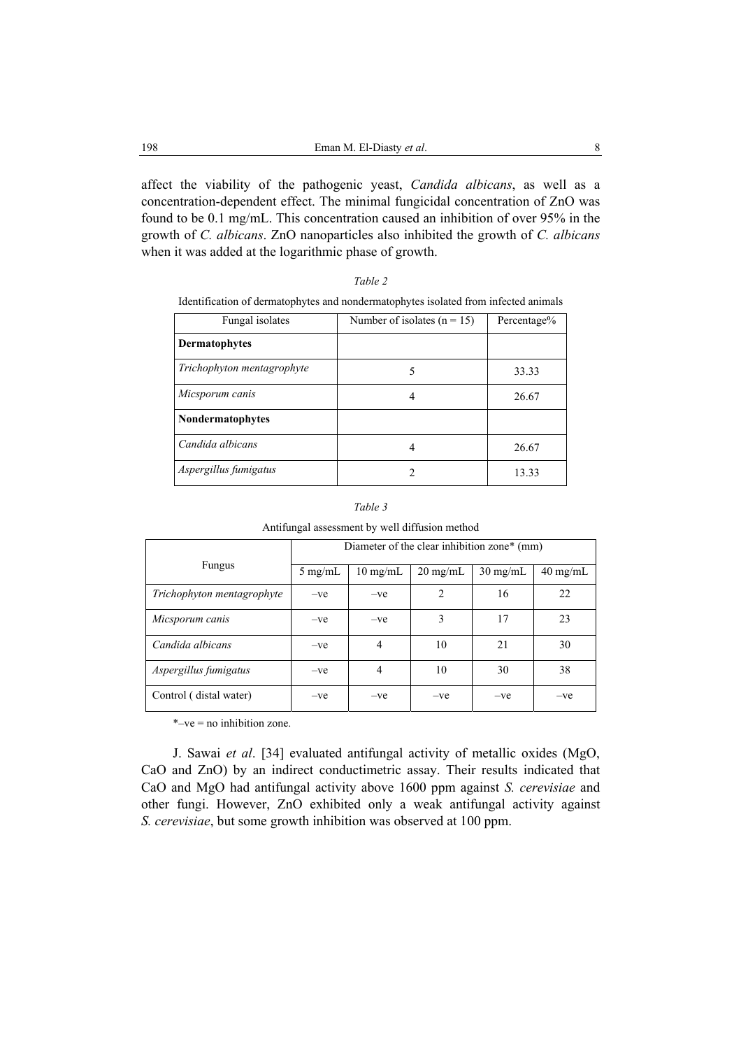affect the viability of the pathogenic yeast, *Candida albicans*, as well as a concentration-dependent effect. The minimal fungicidal concentration of ZnO was found to be 0.1 mg/mL. This concentration caused an inhibition of over 95% in the growth of *C. albicans*. ZnO nanoparticles also inhibited the growth of *C. albicans* when it was added at the logarithmic phase of growth.

| I |  |
|---|--|
|   |  |

| Identification of dermatophytes and nondermatophytes isolated from infected animals |  |  |  |
|-------------------------------------------------------------------------------------|--|--|--|
|-------------------------------------------------------------------------------------|--|--|--|

| Fungal isolates            | Number of isolates $(n = 15)$ | Percentage% |
|----------------------------|-------------------------------|-------------|
| <b>Dermatophytes</b>       |                               |             |
| Trichophyton mentagrophyte |                               | 33.33       |
| Micsporum canis            |                               | 26.67       |
| <b>Nondermatophytes</b>    |                               |             |
| Candida albicans           |                               | 26.67       |
| Aspergillus fumigatus      |                               | 13.33       |

#### *Table 3*

Antifungal assessment by well diffusion method

|                            | Diameter of the clear inhibition zone* (mm) |                    |                    |                    |                    |  |
|----------------------------|---------------------------------------------|--------------------|--------------------|--------------------|--------------------|--|
| Fungus                     | $5 \text{ mg/mL}$                           | $10 \text{ mg/mL}$ | $20 \text{ mg/mL}$ | $30 \text{ mg/mL}$ | $40 \text{ mg/mL}$ |  |
| Trichophyton mentagrophyte | $-ve$                                       | $-ve$              | 2                  | 16                 | 22                 |  |
| Micsporum canis            | $-ve$                                       | $-ve$              | 3                  | 17                 | 23                 |  |
| Candida albicans           | $-ve$                                       | $\overline{4}$     | 10                 | 21                 | 30                 |  |
| Aspergillus fumigatus      | $-ve$                                       | $\overline{4}$     | 10                 | 30                 | 38                 |  |
| Control (distal water)     | $-ve$                                       | $-ve$              | $-ve$              | $-ve$              | -ve                |  |

\*–ve = no inhibition zone.

J. Sawai *et al*. [34] evaluated antifungal activity of metallic oxides (MgO, CaO and ZnO) by an indirect conductimetric assay. Their results indicated that CaO and MgO had antifungal activity above 1600 ppm against *S. cerevisiae* and other fungi. However, ZnO exhibited only a weak antifungal activity against *S. cerevisiae*, but some growth inhibition was observed at 100 ppm.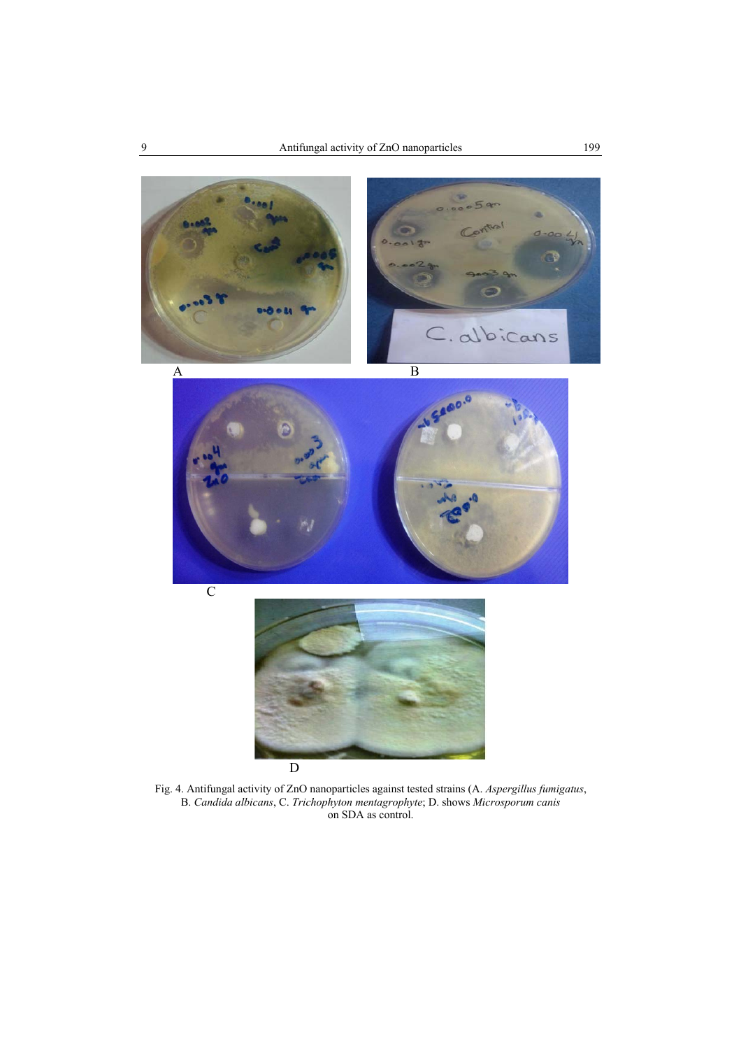





Fig. 4. Antifungal activity of ZnO nanoparticles against tested strains (A. *Aspergillus fumigatus*, B. *Candida albicans*, C. *Trichophyton mentagrophyte*; D. shows *Microsporum canis* on SDA as control.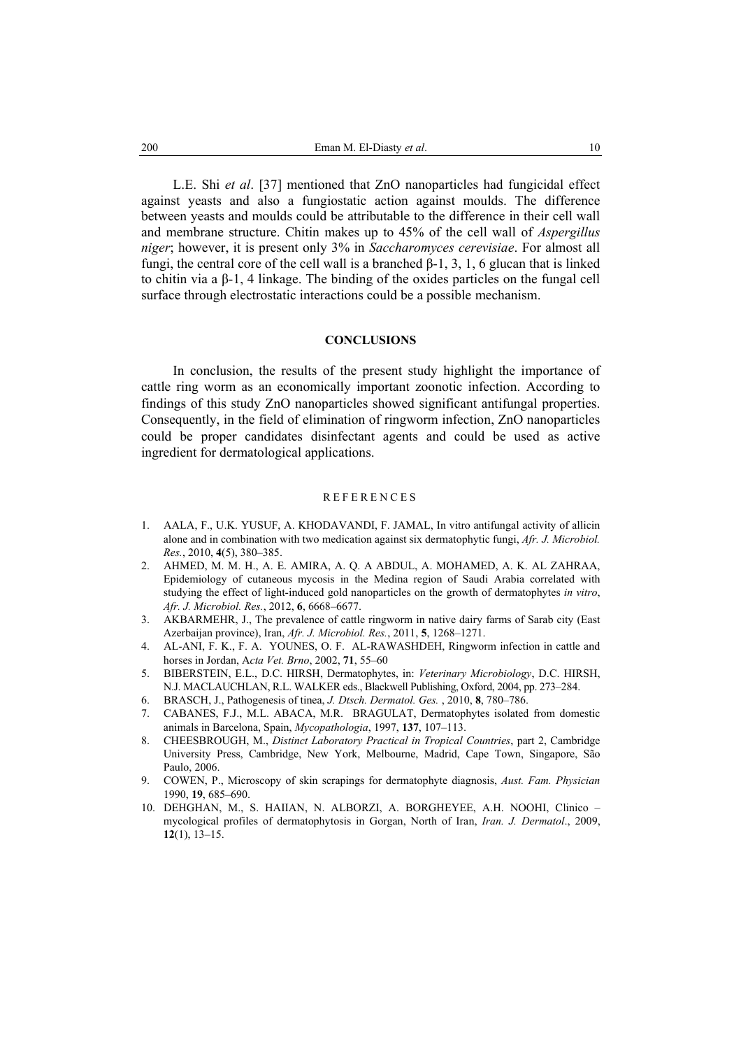L.E. Shi *et al*. [37] mentioned that ZnO nanoparticles had fungicidal effect against yeasts and also a fungiostatic action against moulds. The difference between yeasts and moulds could be attributable to the difference in their cell wall and membrane structure. Chitin makes up to 45% of the cell wall of *Aspergillus niger*; however, it is present only 3% in *Saccharomyces cerevisiae*. For almost all fungi, the central core of the cell wall is a branched β-1, 3, 1, 6 glucan that is linked to chitin via a β-1, 4 linkage. The binding of the oxides particles on the fungal cell surface through electrostatic interactions could be a possible mechanism.

### **CONCLUSIONS**

In conclusion, the results of the present study highlight the importance of cattle ring worm as an economically important zoonotic infection. According to findings of this study ZnO nanoparticles showed significant antifungal properties. Consequently, in the field of elimination of ringworm infection, ZnO nanoparticles could be proper candidates disinfectant agents and could be used as active ingredient for dermatological applications.

### **REFERENCES**

- 1. AALA, F., U.K. YUSUF, A. KHODAVANDI, F. JAMAL, In vitro antifungal activity of allicin alone and in combination with two medication against six dermatophytic fungi, *Afr. J. Microbiol. Res.*, 2010, **4**(5), 380–385.
- 2. AHMED, M. M. H., A. E. AMIRA, A. Q. A ABDUL, A. MOHAMED, A. K. AL ZAHRAA, Epidemiology of cutaneous mycosis in the Medina region of Saudi Arabia correlated with studying the effect of light-induced gold nanoparticles on the growth of dermatophytes *in vitro*, *Afr. J. Microbiol. Res.*, 2012, **6**, 6668–6677.
- 3. AKBARMEHR, J., The prevalence of cattle ringworm in native dairy farms of Sarab city (East Azerbaijan province), Iran, *Afr. J. Microbiol. Res.*, 2011, **5**, 1268–1271.
- 4. AL-ANI, F. K., F. A. YOUNES, O. F. AL-RAWASHDEH, Ringworm infection in cattle and horses in Jordan, A*cta Vet. Brno*, 2002, **71**, 55–60
- 5. BIBERSTEIN, E.L., D.C. HIRSH, Dermatophytes, in: *Veterinary Microbiology*, D.C. HIRSH, N.J. MACLAUCHLAN, R.L. WALKER eds., Blackwell Publishing, Oxford, 2004, pp. 273–284.
- 6. BRASCH, J., Pathogenesis of tinea, *J. Dtsch. Dermatol. Ges.* , 2010, **8**, 780–786.
- 7. CABANES, F.J., M.L. ABACA, M.R. BRAGULAT, Dermatophytes isolated from domestic animals in Barcelona, Spain, *Mycopathologia*, 1997, **137**, 107–113.
- 8. CHEESBROUGH, M., *Distinct Laboratory Practical in Tropical Countries*, part 2, Cambridge University Press, Cambridge, New York, Melbourne, Madrid, Cape Town, Singapore, São Paulo, 2006.
- 9. COWEN, P., Microscopy of skin scrapings for dermatophyte diagnosis, *Aust. Fam. Physician* 1990, **19**, 685–690.
- 10. DEHGHAN, M., S. HAIIAN, N. ALBORZI, A. BORGHEYEE, A.H. NOOHI, Clinico mycological profiles of dermatophytosis in Gorgan, North of Iran, *Iran. J. Dermatol*., 2009, **12**(1), 13–15.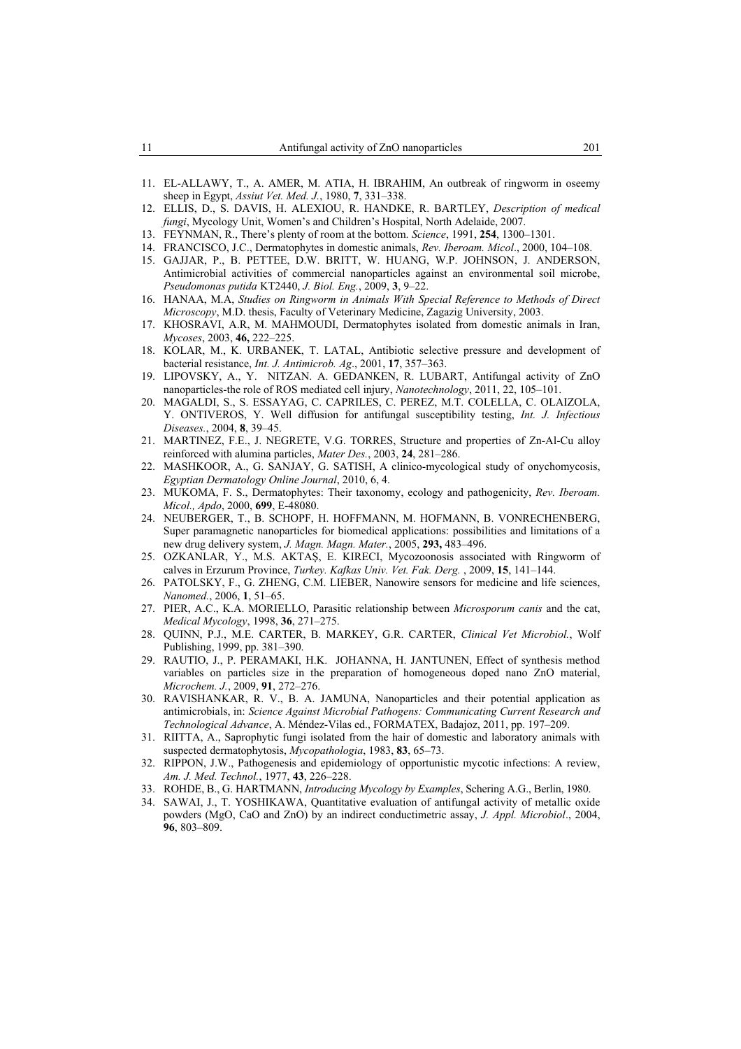- 11. EL-ALLAWY, T., A. AMER, M. ATIA, H. IBRAHIM, An outbreak of ringworm in oseemy sheep in Egypt, *Assiut Vet. Med. J.*, 1980, **7**, 331–338.
- 12. ELLIS, D., S. DAVIS, H. ALEXIOU, R. HANDKE, R. BARTLEY, *Description of medical fungi*, Mycology Unit, Women's and Children's Hospital, North Adelaide, 2007.
- 13. FEYNMAN, R., There's plenty of room at the bottom. *Science*, 1991, **254**, 1300–1301.
- 14. FRANCISCO, J.C., Dermatophytes in domestic animals, *Rev. Iberoam. Micol*., 2000, 104–108.
- 15. GAJJAR, P., B. PETTEE, D.W. BRITT, W. HUANG, W.P. JOHNSON, J. ANDERSON, Antimicrobial activities of commercial nanoparticles against an environmental soil microbe, *Pseudomonas putida* KT2440, *J. Biol. Eng.*, 2009, **3**, 9–22.
- 16. HANAA, M.A, *Studies on Ringworm in Animals With Special Reference to Methods of Direct Microscopy*, M.D. thesis, Faculty of Veterinary Medicine, Zagazig University, 2003.
- 17. KHOSRAVI, A.R, M. MAHMOUDI, Dermatophytes isolated from domestic animals in Iran, *Mycoses*, 2003, **46,** 222–225.
- 18. KOLAR, M., K. URBANEK, T. LATAL, Antibiotic selective pressure and development of bacterial resistance, *Int. J. Antimicrob. Ag*., 2001, **17**, 357–363.
- 19. LIPOVSKY, A., Y. NITZAN. A. GEDANKEN, R. LUBART, Antifungal activity of ZnO nanoparticles-the role of ROS mediated cell injury, *Nanotechnology*, 2011, 22, 105–101.
- 20. MAGALDI, S., S. ESSAYAG, C. CAPRILES, C. PEREZ, M.T. COLELLA, C. OLAIZOLA, Y. ONTIVEROS, Y. Well diffusion for antifungal susceptibility testing, *Int. J. Infectious Diseases.*, 2004, **8**, 39–45.
- 21. MARTINEZ, F.E., J. NEGRETE, V.G. TORRES, Structure and properties of Zn-Al-Cu alloy reinforced with alumina particles, *Mater Des.*, 2003, **24**, 281–286.
- 22. MASHKOOR, A., G. SANJAY, G. SATISH, A clinico-mycological study of onychomycosis, *Egyptian Dermatology Online Journal*, 2010, 6, 4.
- 23. MUKOMA, F. S., Dermatophytes: Their taxonomy, ecology and pathogenicity, *Rev. Iberoam. Micol., Apdo*, 2000, **699**, E-48080.
- 24. NEUBERGER, T., B. SCHOPF, H. HOFFMANN, M. HOFMANN, B. VONRECHENBERG, Super paramagnetic nanoparticles for biomedical applications: possibilities and limitations of a new drug delivery system, *J. Magn. Magn. Mater.*, 2005, **293,** 483–496.
- 25. OZKANLAR, Y., M.S. AKTAŞ, E. KIRECI, Mycozoonosis associated with Ringworm of calves in Erzurum Province, *Turkey. Kafkas Univ. Vet. Fak. Derg.* , 2009, **15**, 141–144.
- 26. PATOLSKY, F., G. ZHENG, C.M. LIEBER, Nanowire sensors for medicine and life sciences, *Nanomed.*, 2006, **1**, 51–65.
- 27. PIER, A.C., K.A. MORIELLO, Parasitic relationship between *Microsporum canis* and the cat, *Medical Mycology*, 1998, **36**, 271–275.
- 28. QUINN, P.J., M.E. CARTER, B. MARKEY, G.R. CARTER, *Clinical Vet Microbiol.*, Wolf Publishing, 1999, pp. 381–390.
- 29. RAUTIO, J., P. PERAMAKI, H.K. JOHANNA, H. JANTUNEN, Effect of synthesis method variables on particles size in the preparation of homogeneous doped nano ZnO material, *Microchem. J.*, 2009, **91**, 272–276.
- 30. RAVISHANKAR, R. V., B. A. JAMUNA, Nanoparticles and their potential application as antimicrobials, in: *Science Against Microbial Pathogens: Communicating Current Research and Technological Advance*, A. Méndez-Vilas ed., FORMATEX, Badajoz, 2011, pp. 197–209.
- 31. RIITTA, A., Saprophytic fungi isolated from the hair of domestic and laboratory animals with suspected dermatophytosis, *Mycopathologia*, 1983, **83**, 65–73.
- 32. RIPPON, J.W., Pathogenesis and epidemiology of opportunistic mycotic infections: A review, *Am. J. Med. Technol.*, 1977, **43**, 226–228.
- 33. ROHDE, B., G. HARTMANN, *Introducing Mycology by Examples*, Schering A.G., Berlin, 1980.
- 34. SAWAI, J., T. YOSHIKAWA, Quantitative evaluation of antifungal activity of metallic oxide powders (MgO, CaO and ZnO) by an indirect conductimetric assay, *J. Appl. Microbiol*., 2004, **96**, 803–809.